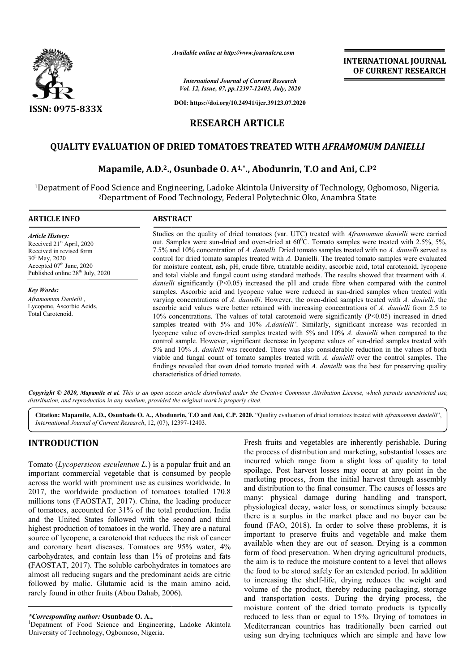

*Available online at http://www.journalcra.com*

*International Journal of Current Research Vol. 12, Issue, 07, pp.12397-12403, July, 2020* **INTERNATIONAL JOURNAL OF CURRENT RESEARCH**

**DOI: https://doi.org/10.24941/ijcr.39123.07.2020**

# **RESEARCH ARTICLE**

# **QUALITY EVALUATION OF DRIED TOMATOES TREATED WITH**  *AFRAMOMUM DANIELLI*

# Mapamile, A.D.<sup>2</sup>., Osunbade O. A<sup>1,\*</sup>., Abodunrin, T.O and Ani, C.P<sup>2</sup>

1Depatment of Food Science and Engineering, Ladoke Akintola University Depatment of Technology, Ogbomoso, Nigeria. 100 Science and Engineering, Ladoke Akintola University of Technology, Og<br><sup>2</sup>Department of Food Technology, Federal Polytechnic Oko, Anambra State

| <b>ARTICLE INFO</b>                                                                                                                                                                           | <b>ABSTRACT</b>                                                                                                                                                                                                                                                                                                                                                                                                                                                                                                                                                                                                                                                                                                                                                                                                                                                                                                                                                                                                                                                                                                                                                                                      |
|-----------------------------------------------------------------------------------------------------------------------------------------------------------------------------------------------|------------------------------------------------------------------------------------------------------------------------------------------------------------------------------------------------------------------------------------------------------------------------------------------------------------------------------------------------------------------------------------------------------------------------------------------------------------------------------------------------------------------------------------------------------------------------------------------------------------------------------------------------------------------------------------------------------------------------------------------------------------------------------------------------------------------------------------------------------------------------------------------------------------------------------------------------------------------------------------------------------------------------------------------------------------------------------------------------------------------------------------------------------------------------------------------------------|
| <b>Article History:</b><br>Received 21 <sup>st</sup> April, 2020<br>Received in revised form<br>$30h$ May, 2020<br>Accepted $07th$ June, 2020<br>Published online 28 <sup>th</sup> July, 2020 | Studies on the quality of dried tomatoes (var. UTC) treated with <i>Aframomum danielli</i> were carried<br>out. Samples were sun-dried and oven-dried at $60^{\circ}$ C. Tomato samples were treated with 2.5%, 5%,<br>7.5% and 10% concentration of A. danielli. Dried tomato samples treated with no A. danielli served as<br>control for dried tomato samples treated with A. Danielli. The treated tomato samples were evaluated<br>for moisture content, ash, pH, crude fibre, titratable acidity, ascorbic acid, total carotenoid, lycopene<br>and total viable and fungal count using standard methods. The results showed that treatment with A.                                                                                                                                                                                                                                                                                                                                                                                                                                                                                                                                             |
| <b>Key Words:</b><br>Aframomum Danielli,<br>Lycopene, Ascorbic Acids,<br>Total Carotenoid.                                                                                                    | <i>danielli</i> significantly ( $P<0.05$ ) increased the pH and crude fibre when compared with the control<br>samples. Ascorbic acid and lycopene value were reduced in sun-dried samples when treated with<br>varying concentrations of A. danielli. However, the oven-dried samples treated with A. danielli, the<br>ascorbic acid values were better retained with increasing concentrations of A. danielli from 2.5 to<br>10% concentrations. The values of total carotenoid were significantly $(P<0.05)$ increased in dried<br>samples treated with 5% and 10% A.danielli'. Similarly, significant increase was recorded in<br>lycopene value of oven-dried samples treated with 5% and 10% A. danielli when compared to the<br>control sample. However, significant decrease in lycopene values of sun-dried samples treated with<br>5% and 10% A, <i>danielli</i> was recorded. There was also considerable reduction in the values of both<br>viable and fungal count of tomato samples treated with A. danielli over the control samples. The<br>findings revealed that oven dried tomato treated with A. danielli was the best for preserving quality<br>characteristics of dried tomato. |

Copyright © 2020, Mapamile et al. This is an open access article distributed under the Creative Commons Attribution License, which permits unrestricted use, *distribution, and reproduction in any medium, provided the original work is properly cited.*

**Citation: Mapamile, A.D., Osunbade O. A., Abodunrin, T.O and Ani, C.P. 2020. "Quality evaluation of dried tomatoes treated with** *aframomum danielli***",** *International Journal of Current Research*, 12, (07), 12397 12397-12403.

# **INTRODUCTION**

Tomato (*Lycopersicon esculentum L.*) is a popular fruit and an important commercial vegetable that is consumed by people across the world with prominent use as cuisines worldwide. In 2017, the worldwide production of tomatoes totalled 170.8 millions tons (FAOSTAT, 2017). China, the leading producer of tomatoes, accounted for 31% of the total production. India and the United States followed with the second and third highest production of tomatoes in the world. They are a natural source of lycopene, a carotenoid that reduces the risk of cancer and coronary heart diseases. Tomatoes are 95% water, 4% carbohydrates, and contain less than 1% of proteins and fats **(**FAOSTAT, 2017). The soluble carbohydrates in tomatoes are almost all reducing sugars and the predominant acids are citric followed by malic. Glutamic acid is the main amino acid, rarely found in other fruits (Abou Dahab, 2006).

<sup>1</sup>Depatment of Food Science and Engineering, Ladoke Akintola University of Technology, Ogbomoso, Nigeria.

Fresh fruits and vegetables are inherently perishable. During<br>the process of distribution and marketing, substantial losses are<br>opular fruit and an<br>incurred which range from a slight loss of quality to total<br>spoilage. Post the process of distribution and marketing, substantial losses are incurred which range from a slight loss of quality to total spoilage. Post harvest losses may occur at any point in the marketing process, from the initial harvest through assembly and distribution to the final consumer. The causes of losses are Fresh fruits and vegetables are inherently perishable. During<br>the process of distribution and marketing, substantial losses are<br>incurred which range from a slight loss of quality to total<br>spoilage. Post harvest losses may physiological decay, water loss, or sometimes simply because there is a surplus in the market place and no buyer can be found (FAO, 2018). In order to solve these problems, it is physiological decay, water loss, or sometimes simply because<br>there is a surplus in the market place and no buyer can be<br>found (FAO, 2018). In order to solve these problems, it is<br>important to preserve fruits and vegetable available when they are out of season. Drying is a common form of food preservation. When drying agricultural products, the aim is to reduce the moisture content to a level that allows the food to be stored safely for an extended period. In addition to increasing the shelf-life, drying reduces the weight and volume of the product, thereby reducing packaging, storage and transportation costs. During the drying process, the moisture content of the dried tomato products is typically reduced to less than or equal to 15%. Drying of tomatoes in Mediterranean countries has traditionally been carried out using sun drying techniques which are simple and have low **INTERNATIONAL JOURNAL CONTRIGENT RESEARCH**<br> **COVERENT RESEARCH**<br> **COVERENT RESEARCH**<br> **COVER ARTICLE**<br> **COVERENT RESEARCH**<br> **COVER ARTICLE**<br> **COVER ARTICLE**<br> **COVER ARTICUS**<br> **COVER ARTICLE**<br> **COVER ARTICUS**<br> **COVER ARTIC** 

*<sup>\*</sup>Corresponding author:* **Osunbade O. A.,** <sup>1</sup>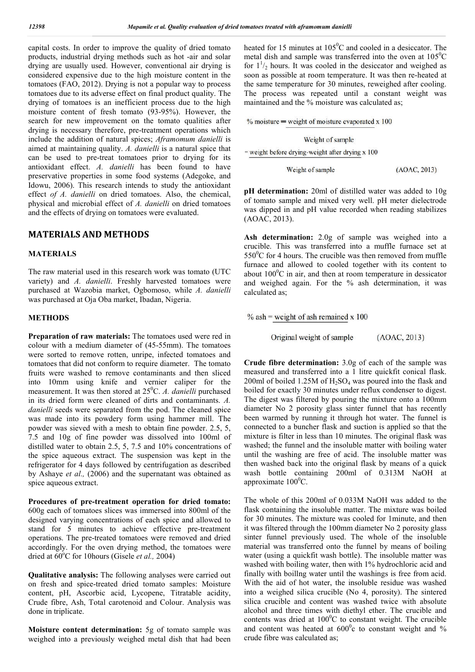capital costs. In order to improve the quality of dried tomato products, industrial drying methods such as hot -air and solar drying are usually used. However, conventional air drying is considered expensive due to the high moisture content in the tomatoes (FAO, 2012). Drying is not a popular way to process tomatoes due to its adverse effect on final product quality. The drying of tomatoes is an inefficient process due to the high moisture content of fresh tomato (93-95%). However, the search for new improvement on the tomato qualities after drying is necessary therefore, pre-treatment operations which include the addition of natural spices; *Aframomum danielli* is aimed at maintaining quality. *A. danielli* is a natural spice that can be used to pre-treat tomatoes prior to drying for its antioxidant effect. *A. danielli* has been found to have preservative properties in some food systems (Adegoke, and Idowu, 2006). This research intends to study the antioxidant effect *of A. danielli* on dried tomatoes. Also, the chemical, physical and microbial effect of *A. danielli* on dried tomatoes and the effects of drying on tomatoes were evaluated.

## **MATERIALS AND METHODS**

### **MATERIALS**

The raw material used in this research work was tomato (UTC variety) and *A. danielli*. Freshly harvested tomatoes were purchased at Wazobia market, Ogbomoso, while *A. danielli* was purchased at Oja Oba market, Ibadan, Nigeria.

## **METHODS**

**Preparation of raw materials:** The tomatoes used were red in colour with a medium diameter of (45-55mm). The tomatoes were sorted to remove rotten, unripe, infected tomatoes and tomatoes that did not conform to require diameter. The tomato fruits were washed to remove contaminants and then sliced into 10mm using knife and vernier caliper for the measurement. It was then stored at 25<sup>0</sup>C. A. danielli purchased in its dried form were cleaned of dirts and contaminants. *A. danielli* seeds were separated from the pod. The cleaned spice was made into its powdery form using hammer mill. The powder was sieved with a mesh to obtain fine powder. 2.5, 5, 7.5 and 10g of fine powder was dissolved into 100ml of distilled water to obtain 2.5, 5, 7.5 and 10% concentrations of the spice aqueous extract. The suspension was kept in the refrigerator for 4 days followed by centrifugation as described by Ashaye *et al.,* (2006) and the supernatant was obtained as spice aqueous extract.

**Procedures of pre-treatment operation for dried tomato:**  600g each of tomatoes slices was immersed into 800ml of the designed varying concentrations of each spice and allowed to stand for 5 minutes to achieve effective pre-treatment operations. The pre-treated tomatoes were removed and dried accordingly. For the oven drying method, the tomatoes were dried at 60°C for 10hours (Gisele et al., 2004)

**Qualitative analysis:** The following analyses were carried out on fresh and spice-treated dried tomato samples: Moisture content, pH, Ascorbic acid, Lycopene, Titratable acidity, Crude fibre, Ash, Total carotenoid and Colour. Analysis was done in triplicate.

**Moisture content determination:** 5g of tomato sample was weighed into a previously weighed metal dish that had been

heated for 15 minutes at  $105^{\circ}$ C and cooled in a desiccator. The metal dish and sample was transferred into the oven at  $105^{\circ}$ C for  $1\frac{1}{2}$  hours. It was cooled in the desiccator and weighed as soon as possible at room temperature. It was then re-heated at the same temperature for 30 minutes, reweighed after cooling. The process was repeated until a constant weight was maintained and the % moisture was calculated as;

 $%$  moisture = weight of moisture evaporated x 100

#### Weight of sample

= weight before drying-weight after drying x 100

Weight of sample

(AOAC, 2013)

**pH determination:** 20ml of distilled water was added to 10g of tomato sample and mixed very well. pH meter dielectrode was dipped in and pH value recorded when reading stabilizes (AOAC, 2013).

**Ash determination:** 2.0g of sample was weighed into a crucible. This was transferred into a muffle furnace set at  $550^0$ C for 4 hours. The crucible was then removed from muffle furnace and allowed to cooled together with its content to about  $100^{\circ}$ C in air, and then at room temperature in dessicator and weighed again. For the % ash determination, it was calculated as;

 $\%$  ash = weight of ash remained x 100

Original weight of sample  $(AOAC, 2013)$ 

**Crude fibre determination:** 3.0g of each of the sample was measured and transferred into a 1 litre quickfit conical flask. 200ml of boiled 1.25M of  $H_2SO_4$  was poured into the flask and boiled for exactly 30 minutes under reflux condenser to digest. The digest was filtered by pouring the mixture onto a 100mm diameter No 2 porosity glass sinter funnel that has recently been warmed by running it through hot water. The funnel is connected to a buncher flask and suction is applied so that the mixture is filter in less than 10 minutes. The original flask was washed; the funnel and the insoluble matter with boiling water until the washing are free of acid. The insoluble matter was then washed back into the original flask by means of a quick wash bottle containing 200ml of 0.313M NaOH at approximate  $100^0C$ .

The whole of this 200ml of 0.033M NaOH was added to the flask containing the insoluble matter. The mixture was boiled for 30 minutes. The mixture was cooled for 1minute, and then it was filtered through the 100mm diameter No 2 porosity glass sinter funnel previously used. The whole of the insoluble material was transferred onto the funnel by means of boiling water (using a quickfit wash bottle). The insoluble matter was washed with boiling water, then with 1% hydrochloric acid and finally with boillng water until the washings is free from acid. With the aid of hot water, the insoluble residue was washed into a weighed silica crucible (No 4, porosity). The sintered silica crucible and content was washed twice with absolute alcohol and three times with diethyl ether. The crucible and contents was dried at  $100^{\circ}$ C to constant weight. The crucible and content was heated at  $600^{\circ}$ c to constant weight and % crude fibre was calculated as;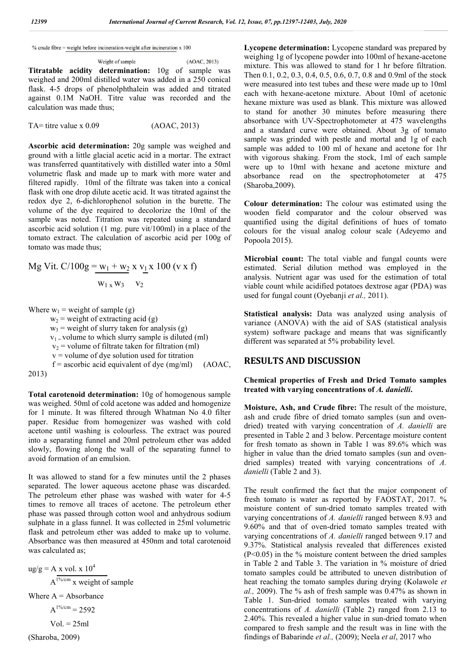% crude fibre = weight before incineration-weight after incineration  $x$  100

Weight of sample (AOAC, 2013) **Titratable acidity determination:** 10g of sample was weighed and 200ml distilled water was added in a 250 conical flask. 4-5 drops of phenolphthalein was added and titrated against 0.1M NaOH. Titre value was recorded and the calculation was made thus;

 $TA =$  titre value x  $0.09$  (AOAC, 2013)

**Ascorbic acid determination:** 20g sample was weighed and ground with a little glacial acetic acid in a mortar. The extract was transferred quantitatively with distilled water into a 50ml volumetric flask and made up to mark with more water and filtered rapidly. 10ml of the filtrate was taken into a conical flask with one drop dilute acetic acid. It was titrated against the redox dye 2, 6-dichlorophenol solution in the burette. The volume of the dye required to decolorize the 10ml of the sample was noted. Titration was repeated using a standard ascorbic acid solution (1 mg. pure vit/100ml) in a place of the tomato extract. The calculation of ascorbic acid per 100g of tomato was made thus;

Mg Vit. C/100g = 
$$
\frac{w_1 + w_2}{w_1 + w_3}
$$
 x  $v_1$  x 100 (v x f)  
 $\frac{w_1}{w_3}$  v<sub>2</sub>

Where  $w_1$  = weight of sample (g)  $w_2$  = weight of extracting acid (g)  $w_3$  = weight of slurry taken for analysis (g)

 $v_1$  = volume to which slurry sample is diluted (ml)  $v_2$  = volume of filtrate taken for filtration (ml)

 $v =$  volume of dye solution used for titration

 $f =$  ascorbic acid equivalent of dye (mg/ml) (AOAC, 2013)

**Total carotenoid determination:** 10g of homogenous sample was weighed. 50ml of cold acetone was added and homogenize for 1 minute. It was filtered through Whatman No 4.0 filter paper. Residue from homogenizer was washed with cold acetone until washing is colourless. The extract was poured into a separating funnel and 20ml petroleum ether was added slowly, flowing along the wall of the separating funnel to avoid formation of an emulsion.

It was allowed to stand for a few minutes until the 2 phases separated. The lower aqueous acetone phase was discarded. The petroleum ether phase was washed with water for 4-5 times to remove all traces of acetone. The petroleum ether phase was passed through cotton wool and anhydrous sodium sulphate in a glass funnel. It was collected in 25ml volumetric flask and petroleum ether was added to make up to volume. Absorbance was then measured at 450nm and total carotenoid was calculated as;

 $\text{ug/g} = \text{A} \times \text{vol.} \times 10^4$  $A^{1\%/cm}$  x weight of sample Where  $A = Absorbance$  $A^{1\%/cm} = 2592$  $Vol. = 25ml$ 

(Sharoba, 2009)

**Lycopene determination:** Lycopene standard was prepared by weighing 1g of lycopene powder into 100ml of hexane-acetone mixture. This was allowed to stand for 1 hr before filtration. Then 0.1, 0.2, 0.3, 0.4, 0.5, 0.6, 0.7, 0.8 and 0.9ml of the stock were measured into test tubes and these were made up to 10ml each with hexane-acetone mixture. About 10ml of acetonic hexane mixture was used as blank. This mixture was allowed to stand for another 30 minutes before measuring there absorbance with UV-Spectrophotometer at 475 wavelengths and a standard curve were obtained. About 3g of tomato sample was grinded with pestle and mortal and 1g of each sample was added to 100 ml of hexane and acetone for 1hr with vigorous shaking. From the stock, 1ml of each sample were up to 10ml with hexane and acetone mixture and absorbance read on the spectrophotometer at 475 (Sharoba,2009).

**Colour determination:** The colour was estimated using the wooden field comparator and the colour observed was quantified using the digital definitions of hues of tomato colours for the visual analog colour scale (Adeyemo and Popoola 2015).

**Microbial count:** The total viable and fungal counts were estimated. Serial dilution method was employed in the analysis. Nutrient agar was used for the estimation of total viable count while acidified potatoes dextrose agar (PDA) was used for fungal count (Oyebanji *et al.,* 2011).

**Statistical analysis:** Data was analyzed using analysis of variance (ANOVA) with the aid of SAS (statistical analysis system) software package and means that was significantly different was separated at 5% probability level.

## **RESULTS AND DISCUSSION**

**Chemical properties of Fresh and Dried Tomato samples treated with varying concentrations of** *A. danielli***.**

**Moisture, Ash, and Crude fibre:** The result of the moisture, ash and crude fibre of dried tomato samples (sun and ovendried) treated with varying concentration of *A. danielli* are presented in Table 2 and 3 below. Percentage moisture content for fresh tomato as shown in Table 1 was 89.6% which was higher in value than the dried tomato samples (sun and ovendried samples) treated with varying concentrations of *A. danielli* (Table 2 and 3).

The result confirmed the fact that the major component of fresh tomato is water as reported by FAOSTAT, 2017. % moisture content of sun-dried tomato samples treated with varying concentrations of *A. danielli* ranged between 8.93 and 9.60% and that of oven-dried tomato samples treated with varying concentrations of *A. danielli* ranged between 9.17 and 9.37%. Statistical analysis revealed that differences existed  $(P<0.05)$  in the % moisture content between the dried samples in Table 2 and Table 3. The variation in % moisture of dried tomato samples could be attributed to uneven distribution of heat reaching the tomato samples during drying (Kolawole *et al.,* 2009). The % ash of fresh sample was 0.47% as shown in Table 1. Sun-dried tomato samples treated with varying concentrations of *A. danielli* (Table 2) ranged from 2.13 to 2.40%. This revealed a higher value in sun-dried tomato when compared to fresh sample and the result was in line with the findings of Babarinde *et al.,* (2009); Neela *et al*, 2017 who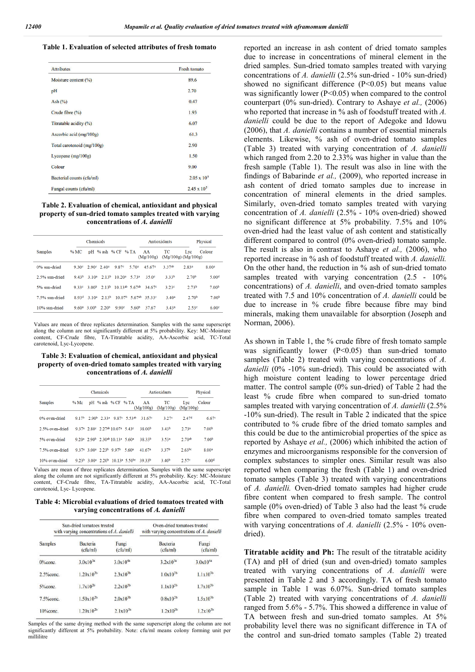### **Table 1. Evaluation of selected attributes of fresh tomato**

| <b>Attributes</b>               | <b>Fresh tomato</b>  |
|---------------------------------|----------------------|
| Moisture content $\binom{9}{0}$ | 89.6                 |
| pH                              | 2.70                 |
| Ash $(\% )$                     | 0.47                 |
| Crude fibre (%)                 | 1.93                 |
| Titratable acidity (%)          | 6.07                 |
| Ascorbic acid (mg/100g)         | 61.3                 |
| Total carotenoid (mg/100g)      | 2.90                 |
| Lycopene $(mg/100g)$            | 1.50                 |
| Colour                          | 9.00                 |
| Bacterial counts (cfu/ml)       | $2.05 \times 10^5$   |
| Fungal counts (cfu/ml)          | $2.45 \times 10^{5}$ |

### **Table 2. Evaluation of chemical, antioxidant and physical property of sun-dried tomato samples treated with varying concentrations of** *A. danielli*

|                | Chemicals         |                                  |                   |                    |                             | Antioxidants       |                   |                                | Physical          |  |
|----------------|-------------------|----------------------------------|-------------------|--------------------|-----------------------------|--------------------|-------------------|--------------------------------|-------------------|--|
| <b>Samples</b> | %MC               |                                  |                   | pH % ash % CF % TA |                             | AA<br>(Mg/100g)    | TC                | Lyc<br>$(Mg/100g)$ $(Mg/100g)$ | Colour            |  |
| 0% sun-dried   | 9.30c             | $2.90^{\circ}$ 2.40 <sup>a</sup> |                   | 9.87 <sup>c</sup>  | 5.70 <sup>a</sup>           | 45.67 <sup>a</sup> | 3.37ab            | 2.83ª                          | 8.00 <sup>a</sup> |  |
| 2.5% sun-dried | 9.43 <sup>b</sup> |                                  | $3.10^a$ $2.13^b$ | 10.20 <sup>a</sup> | 5.73ª                       | 35.0 <sup>c</sup>  | 3.33 <sup>b</sup> | 2.70 <sup>b</sup>              | 5.00 <sup>d</sup> |  |
| 5% sun-dried   | 9.33 <sup>c</sup> | 3.00 <sup>b</sup>                | 2.13 <sup>b</sup> | $1013ab$ 5 67ab    |                             | 34.67 <sup>c</sup> | 3.23c             | 2.73 <sup>b</sup>              | 7.00 <sup>b</sup> |  |
| 7.5% sun-dried | 8.93 <sup>d</sup> | 3.10 <sup>a</sup>                | 2.13 <sup>b</sup> |                    | $10.07b$ 5.67 <sup>ab</sup> | 35.330             | 3.40 <sup>a</sup> | 2.70 <sup>b</sup>              | 7.00 <sup>b</sup> |  |
| 10% sun-dried  |                   | $9.60^a$ 3.00 <sup>b</sup>       | 2.20 <sup>b</sup> | 9.90 <sup>c</sup>  | 5.60 <sup>b</sup>           | 37.67              | 3.43a             | 2.53c                          | 6.00 <sup>c</sup> |  |

Values are mean of three replicates determination. Samples with the same superscript along the column are not significantly different at 5% probability. Key: MC-Moisture content, CF-Crude fibre, TA-Titratable acidity, AA-Ascorbic acid, TC-Total carotenoid, Lyc-Lycopene.

#### **Table 3: Evaluation of chemical, antioxidant and physical property of oven-dried tomato samples treated with varying concentrations of** *A. danielli*

|                 | Chemicals |  |                                             |                                                                                             |                                                                                   | <b>Antioxidants</b> |                   |                   | <b>Physical</b>   |  |
|-----------------|-----------|--|---------------------------------------------|---------------------------------------------------------------------------------------------|-----------------------------------------------------------------------------------|---------------------|-------------------|-------------------|-------------------|--|
| <b>Samples</b>  | $%$ Mc    |  |                                             | pH % ash % CF % TA                                                                          |                                                                                   | AA<br>(Mg/100g)     | TC<br>(Mg/100g)   | Lyc<br>(Mg/100g)  | Colour            |  |
| 0% oven-dried   |           |  | $9.17b$ 2.90 <sup>b</sup> 2.33 <sup>a</sup> |                                                                                             | 9.87 <sup>c</sup> 5.53 <sup>ab</sup>                                              | 31.679              | 3.27 <sup>c</sup> | 2.47 <sup>d</sup> | 6.67 <sup>c</sup> |  |
| 2.5% oven-dried |           |  |                                             | 9.37 <sup>a</sup> 2.80 <sup>c</sup> 2.27 <sup>ab</sup> 10.07 <sup>a</sup> 5.43 <sup>c</sup> |                                                                                   | 38.00 <sup>b</sup>  | 3.43 <sup>b</sup> | 2.73 <sup>a</sup> | 7.00 <sup>b</sup> |  |
| 5% oven-dried   |           |  |                                             | $9.20^a$ $2.90^b$ $2.30^{ab}$ 10.13 <sup>a</sup> 5.60 <sup>a</sup>                          |                                                                                   | 38.33 <sup>b</sup>  | 3.53 <sup>a</sup> | $2.70^{ab}$       | 7.00 <sup>b</sup> |  |
| 7.5% oven-dried |           |  | $9.37a$ $3.00a$ $2.23b$ $9.97b$             |                                                                                             | 5.60ª                                                                             | 41.67 <sup>a</sup>  | 3.37 <sup>b</sup> | $2.63^{bc}$       | 8.00 <sup>a</sup> |  |
| 10% oven-dried  |           |  |                                             |                                                                                             | $9.23b$ 3.00 <sup>a</sup> 2.20 <sup>b</sup> 10.13 <sup>a</sup> 5.50 <sup>bc</sup> | 39.33b              | 3.40 <sup>b</sup> | 2.57c             | 6.00 <sup>d</sup> |  |

Values are mean of three replicates determination. Samples with the same superscript along the column are not significantly different at 5% probability. Key: MC-Moisture content, CF-Crude fibre, TA-Titratable acidity, AA-Ascorbic acid, TC-Total carotenoid, Lyc- Lycopene.

**Table 4: Microbial evaluations of dried tomatoes treated with varying concentrations of** *A. danielli*

|                | Sun-dried tomatoes treated<br>with varying concentrations of A. danielli | Oven-dried tomatoes treated<br>with varying concentrations of A. danielli |                             |                             |  |
|----------------|--------------------------------------------------------------------------|---------------------------------------------------------------------------|-----------------------------|-----------------------------|--|
| <b>Samples</b> | <b>Bacteria</b><br>(cfu/ml)                                              | Fungi<br>$(c$ fu/ml $)$                                                   | <b>Bacteria</b><br>(cfu/ml) | Fungi<br>$(c \text{fu/ml})$ |  |
| $0\%$ conc.    | $3.0 \times 10^{3a}$                                                     | $3.0x10^{4a}$                                                             | $3.2 \times 10^{3a}$        | $3.0x10^{4a}$               |  |
| $2.5%$ conc.   | $1.20 \times 10^{2b}$                                                    | $2.3x10^{3b}$                                                             | $1.0x10^{2b}$               | $1.1x10^{3b}$               |  |
| $5%$ conc      | $1.7 \times 10^{2b}$                                                     | $2.2 \times 10^{3b}$                                                      | $1.1 \times 10^{2b}$        | $1.7 \times 10^{3b}$        |  |
| $7.5\%$ conc.  | $1.50 \times 10^{2b}$                                                    | $2.0x10^{3b}$                                                             | $0.8x10^{2b}$               | $1.5x10^{3b}$               |  |
| $10%$ conc.    | $1.20 \times 10^{2b}$                                                    | $2.1x10^{3b}$                                                             | $1.2x10^{2b}$               | $1.2x10^{3b}$               |  |

Samples of the same drying method with the same superscript along the column are not significantly different at 5% probability. Note: cfu/ml means colony forming unit per millilitre

reported an increase in ash content of dried tomato samples due to increase in concentrations of mineral element in the dried samples. Sun-dried tomato samples treated with varying concentrations of *A. danielli* (2.5% sun-dried - 10% sun-dried) showed no significant difference (P<0.05) but means value was significantly lower  $(P<0.05)$  when compared to the control counterpart (0% sun-dried). Contrary to Ashaye *et al.,* (2006) who reported that increase in % ash of foodstuff treated with *A*. *danielli* could be due to the report of Adegoke and Idowu (2006), that *A. danielli* contains a number of essential minerals elements. Likewise, % ash of oven-dried tomato samples (Table 3) treated with varying concentration of *A. danielli*  which ranged from 2.20 to 2.33% was higher in value than the fresh sample (Table 1). The result was also in line with the findings of Babarinde *et al.,* (2009), who reported increase in ash content of dried tomato samples due to increase in concentration of mineral elements in the dried samples. Similarly, oven-dried tomato samples treated with varying concentration of *A. danielli* (2.5% - 10% oven-dried) showed no significant difference at 5% probability. 7.5% and 10% oven-dried had the least value of ash content and statistically different compared to control (0% oven-dried) tomato sample. The result is also in contrast to Ashaye *et al.,* (2006), who reported increase in % ash of foodstuff treated with *A. danielli.* On the other hand, the reduction in % ash of sun-dried tomato samples treated with varying concentration (2.5 - 10%) concentrations) of *A. danielli*, and oven-dried tomato samples treated with 7.5 and 10% concentration of *A. danielli* could be due to increase in % crude fibre because fibre may bind minerals, making them unavailable for absorption (Joseph and Norman, 2006).

As shown in Table 1, the % crude fibre of fresh tomato sample was significantly lower (P<0.05) than sun-dried tomato samples (Table 2) treated with varying concentrations of *A. danielli* (0% -10% sun-dried). This could be associated with high moisture content leading to lower percentage dried matter. The control sample (0% sun-dried) of Table 2 had the least % crude fibre when compared to sun-dried tomato samples treated with varying concentration of *A. danielli* (2.5% -10% sun-dried). The result in Table 2 indicated that the spice contributed to % crude fibre of the dried tomato samples and this could be due to the antimicrobial properties of the spice as reported by Ashaye *et al.,* (2006) which inhibited the action of enzymes and microorganisms responsible for the conversion of complex substances to simpler ones. Similar result was also reported when comparing the fresh (Table 1) and oven-dried tomato samples (Table 3) treated with varying concentrations of *A. danielli.* Oven-dried tomato samples had higher crude fibre content when compared to fresh sample. The control sample (0% oven-dried) of Table 3 also had the least % crude fibre when compared to oven-dried tomato samples treated with varying concentrations of *A. danielli* (2.5% - 10% ovendried).

**Titratable acidity and Ph:** The result of the titratable acidity (TA) and pH of dried (sun and oven-dried) tomato samples treated with varying concentrations of *A. danielli* were presented in Table 2 and 3 accordingly. TA of fresh tomato sample in Table 1 was 6.07%. Sun-dried tomato samples (Table 2) treated with varying concentrations of *A. danielli* ranged from 5.6% - 5.7%. This showed a difference in value of TA between fresh and sun-dried tomato samples. At 5% probability level there was no significant difference in TA of the control and sun-dried tomato samples (Table 2) treated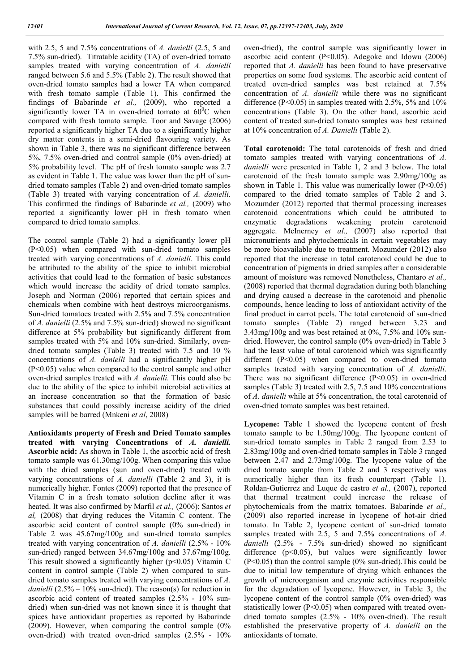with 2.5, 5 and 7.5% concentrations of *A. danielli* (2.5, 5 and 7.5% sun-dried). Titratable acidity (TA) of oven-dried tomato samples treated with varying concentration of *A. danielli* ranged between 5.6 and 5.5% (Table 2). The result showed that oven-dried tomato samples had a lower TA when compared with fresh tomato sample (Table 1). This confirmed the findings of Babarinde *et al.,* (2009), who reported a significantly lower TA in oven-dried tomato at  $60^{\circ}$ C when compared with fresh tomato sample. Toor and Savage (2006) reported a significantly higher TA due to a significantly higher dry matter contents in a semi-dried flavouring variety. As shown in Table 3, there was no significant difference between 5%, 7.5% oven-dried and control sample (0% oven-dried) at 5% probability level. The pH of fresh tomato sample was 2.7 as evident in Table 1. The value was lower than the pH of sundried tomato samples (Table 2) and oven-dried tomato samples (Table 3) treated with varying concentration of *A. danielli.* This confirmed the findings of Babarinde *et al.,* (2009) who reported a significantly lower pH in fresh tomato when compared to dried tomato samples.

The control sample (Table 2) had a significantly lower pH (P<0.05) when compared with sun-dried tomato samples treated with varying concentrations of *A. danielli*. This could be attributed to the ability of the spice to inhibit microbial activities that could lead to the formation of basic substances which would increase the acidity of dried tomato samples. Joseph and Norman (2006) reported that certain spices and chemicals when combine with heat destroys microorganisms. Sun-dried tomatoes treated with 2.5% and 7.5% concentration of *A. danielli* (2.5% and 7.5% sun-dried) showed no significant difference at 5% probability but significantly different from samples treated with 5% and 10% sun-dried. Similarly, ovendried tomato samples (Table 3) treated with 7.5 and 10 % concentrations of *A. danielli* had a significantly higher pH (P<0.05) value when compared to the control sample and other oven-dried samples treated with *A. danielli.* This could also be due to the ability of the spice to inhibit microbial activities at an increase concentration so that the formation of basic substances that could possibly increase acidity of the dried samples will be barred (Mnkeni *et al*, 2008)

**Antioxidants property of Fresh and Dried Tomato samples treated with varying Concentrations of** *A. danielli.* **Ascorbic acid:** As shown in Table 1, the ascorbic acid of fresh tomato sample was 61.30mg/100g. When comparing this value with the dried samples (sun and oven-dried) treated with varying concentrations of *A. danielli* (Table 2 and 3), it is numerically higher. Fontes (2009) reported that the presence of Vitamin C in a fresh tomato solution decline after it was heated. It was also confirmed by Marfil *et al.,* (2006); Santos *et al,* (2008) that drying reduces the Vitamin C content. The ascorbic acid content of control sample (0% sun-dried) in Table 2 was 45.67mg/100g and sun-dried tomato samples treated with varying concentration of *A. danielli* (2.5% - 10% sun-dried) ranged between 34.67mg/100g and 37.67mg/100g. This result showed a significantly higher ( $p$ <0.05) Vitamin C content in control sample (Table 2) when compared to sundried tomato samples treated with varying concentrations of *A. danielli* (2.5% – 10% sun-dried). The reason(s) for reduction in ascorbic acid content of treated samples (2.5% - 10% sundried) when sun-dried was not known since it is thought that spices have antioxidant properties as reported by Babarinde (2009). However, when comparing the control sample (0% oven-dried) with treated oven-dried samples (2.5% - 10%

oven-dried), the control sample was significantly lower in ascorbic acid content (P<0.05). Adegoke and Idowu (2006) reported that *A. danielli* has been found to have preservative properties on some food systems. The ascorbic acid content of treated oven-dried samples was best retained at 7.5% concentration of *A. danielli* while there was no significant difference ( $P<0.05$ ) in samples treated with 2.5%, 5% and 10% concentrations (Table 3). On the other hand, ascorbic acid content of treated sun-dried tomato samples was best retained at 10% concentration of *A. Danielli* (Table 2).

**Total carotenoid:** The total carotenoids of fresh and dried tomato samples treated with varying concentrations of *A. danielli* were presented in Table 1, 2 and 3 below. The total carotenoid of the fresh tomato sample was 2.90mg/100g as shown in Table 1. This value was numerically lower  $(P<0.05)$ compared to the dried tomato samples of Table 2 and 3. Mozumder (2012) reported that thermal processing increases carotenoid concentrations which could be attributed to enzymatic degradations weakening protein carotenoid aggregate. McInerney *et al.,* (2007) also reported that micronutrients and phytochemicals in certain vegetables may be more bioavailable due to treatment. Mozumder (2012) also reported that the increase in total carotenoid could be due to concentration of pigments in dried samples after a considerable amount of moisture was removed Nonetheless, Chantaro *et al.,* (2008) reported that thermal degradation during both blanching and drying caused a decrease in the carotenoid and phenolic compounds, hence leading to loss of antioxidant activity of the final product in carrot peels. The total carotenoid of sun-dried tomato samples (Table 2) ranged between 3.23 and 3.43mg/100g and was best retained at 0%, 7.5% and 10% sundried. However, the control sample (0% oven-dried) in Table 3 had the least value of total carotenoid which was significantly different  $(P<0.05)$  when compared to oven-dried tomato samples treated with varying concentration of *A. danielli*. There was no significant difference  $(P<0.05)$  in oven-dried samples (Table 3) treated with 2.5, 7.5 and 10% concentrations of *A. danielli* while at 5% concentration, the total carotenoid of oven-dried tomato samples was best retained.

**Lycopene:** Table 1 showed the lycopene content of fresh tomato sample to be 1.50mg/100g. The lycopene content of sun-dried tomato samples in Table 2 ranged from 2.53 to 2.83mg/100g and oven-dried tomato samples in Table 3 ranged between 2.47 and 2.73mg/100g. The lycopene value of the dried tomato sample from Table 2 and 3 respectively was numerically higher than its fresh counterpart (Table 1). Roldan-Gutierrez and Luque de castro *et al.,* (2007), reported that thermal treatment could increase the release of phytochemicals from the matrix tomatoes. Babarinde *et al.,* (2009) also reported increase in lycopene of hot-air dried tomato. In Table 2, lycopene content of sun-dried tomato samples treated with 2.5, 5 and 7.5% concentrations of *A. danielli* (2.5% - 7.5% sun-dried) showed no significant difference (p<0.05), but values were significantly lower (P<0.05) than the control sample (0% sun-dried).This could be due to initial low temperature of drying which enhances the growth of microorganism and enzymic activities responsible for the degradation of lycopene. However, in Table 3, the lycopene content of the control sample (0% oven-dried) was statistically lower (P<0.05) when compared with treated ovendried tomato samples (2.5% - 10% oven-dried). The result established the preservative property of *A. danielli* on the antioxidants of tomato.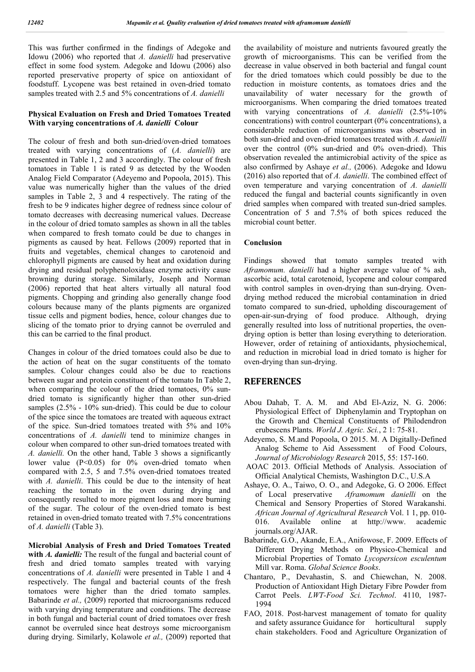This was further confirmed in the findings of Adegoke and Idowu (2006) who reported that *A. danielli* had preservative effect in some food system. Adegoke and Idowu (2006) also reported preservative property of spice on antioxidant of foodstuff. Lycopene was best retained in oven-dried tomato samples treated with 2.5 and 5% concentrations of *A. danielli*

## **Physical Evaluation on Fresh and Dried Tomatoes Treated With varying concentrations of** *A. danielli* **Colour**

The colour of fresh and both sun-dried/oven-dried tomatoes treated with varying concentrations of (*A. danielli*) are presented in Table 1, 2 and 3 accordingly. The colour of fresh tomatoes in Table 1 is rated 9 as detected by the Wooden Analog Field Comparator (Adeyemo and Popoola, 2015). This value was numerically higher than the values of the dried samples in Table 2, 3 and 4 respectively. The rating of the fresh to be 9 indicates higher degree of redness since colour of tomato decreases with decreasing numerical values. Decrease in the colour of dried tomato samples as shown in all the tables when compared to fresh tomato could be due to changes in pigments as caused by heat. Fellows (2009) reported that in fruits and vegetables, chemical changes to carotenoid and chlorophyll pigments are caused by heat and oxidation during drying and residual polyphenoloxidase enzyme activity cause browning during storage. Similarly, Joseph and Norman (2006) reported that heat alters virtually all natural food pigments. Chopping and grinding also generally change food colours because many of the plants pigments are organized tissue cells and pigment bodies, hence, colour changes due to slicing of the tomato prior to drying cannot be overruled and this can be carried to the final product.

Changes in colour of the dried tomatoes could also be due to the action of heat on the sugar constituents of the tomato samples. Colour changes could also be due to reactions between sugar and protein constituent of the tomato In Table 2, when comparing the colour of the dried tomatoes, 0% sundried tomato is significantly higher than other sun-dried samples  $(2.5\% - 10\%$  sun-dried). This could be due to colour of the spice since the tomatoes are treated with aqueous extract of the spice. Sun-dried tomatoes treated with 5% and 10% concentrations of *A. danielli* tend to minimize changes in colour when compared to other sun-dried tomatoes treated with *A. danielli.* On the other hand, Table 3 shows a significantly lower value (P<0.05) for 0% oven-dried tomato when compared with 2.5, 5 and 7.5% oven-dried tomatoes treated with *A. danielli*. This could be due to the intensity of heat reaching the tomato in the oven during drying and consequently resulted to more pigment loss and more burning of the sugar. The colour of the oven-dried tomato is best retained in oven-dried tomato treated with 7.5% concentrations of *A. danielli* (Table 3).

**Microbial Analysis of Fresh and Dried Tomatoes Treated with** *A. danielli:* The result of the fungal and bacterial count of fresh and dried tomato samples treated with varying concentrations of *A. danielli* were presented in Table 1 and 4 respectively. The fungal and bacterial counts of the fresh tomatoes were higher than the dried tomato samples. Babarinde *et al.*, (2009) reported that microorganisms reduced with varying drying temperature and conditions. The decrease in both fungal and bacterial count of dried tomatoes over fresh cannot be overruled since heat destroys some microorganism during drying. Similarly, Kolawole *et al.,* (2009) reported that the availability of moisture and nutrients favoured greatly the growth of microorganisms. This can be verified from the decrease in value observed in both bacterial and fungal count for the dried tomatoes which could possibly be due to the reduction in moisture contents, as tomatoes dries and the unavailability of water necessary for the growth of microorganisms. When comparing the dried tomatoes treated with varying concentrations of *A. danielli* (2.5%-10% concentrations) with control counterpart (0% concentrations), a considerable reduction of microorganisms was observed in both sun-dried and oven-dried tomatoes treated with *A. danielli* over the control (0% sun-dried and 0% oven-dried). This observation revealed the antimicrobial activity of the spice as also confirmed by Ashaye *et al.,* (2006). Adegoke and Idowu (2016) also reported that of *A. danielli*. The combined effect of oven temperature and varying concentration of *A. danielli* reduced the fungal and bacterial counts significantly in oven dried samples when compared with treated sun-dried samples. Concentration of 5 and 7.5% of both spices reduced the microbial count better.

### **Conclusion**

Findings showed that tomato samples treated with *Aframomum. danielli* had a higher average value of % ash, ascorbic acid, total carotenoid, lycopene and colour compared with control samples in oven-drying than sun-drying. Ovendrying method reduced the microbial contamination in dried tomato compared to sun-dried, upholding discouragement of open-air-sun-drying of food produce. Although, drying generally resulted into loss of nutritional properties, the ovendrying option is better than losing everything to deterioration. However, order of retaining of antioxidants, physiochemical, and reduction in microbial load in dried tomato is higher for oven-drying than sun-drying.

## **REFERENCES**

- Abou Dahab, T. A. M. and Abd El-Aziz, N. G. 2006: Physiological Effect of Diphenylamin and Tryptophan on the Growth and Chemical Constituents of Philodendron erubescens Plants. *World J. Agric. Sci.*, 2 1: 75-81.
- Adeyemo, S. M.and Popoola, O 2015. M. A Digitally-Defined Analog Scheme to Aid Assessment of Food Colours, *Journal of Microbiology Research* 2015, 55: 157-160.
- AOAC 2013. Official Methods of Analysis. Association of Official Analytical Chemists, Washington D.C., U.S.A
- Ashaye, O. A., Taiwo, O. O., and Adegoke, G. O 2006. Effect of Local preservative *Aframomum danielli* on the Chemical and Sensory Properties of Stored Warakanshi. *African Journal of Agricultural Research* Vol. 1 1, pp. 010- 016. Available online at http://www. academic journals.org/AJAR.
- Babarinde, G.O., Akande, E.A., Anifowose, F. 2009. Effects of Different Drying Methods on Physico-Chemical and Microbial Properties of Tomato *Lycopersicon esculentum* Mill var. Roma. *Global Science Books*.
- Chantaro, P., Devahastin, S. and Chiewchan, N. 2008. Production of Antioxidant High Dietary Fibre Powder from Carrot Peels. *LWT-Food Sci. Technol*. 4110, 1987- 1994
- FAO, 2018. Post-harvest management of tomato for quality and safety assurance Guidance for horticultural supply chain stakeholders. Food and Agriculture Organization of